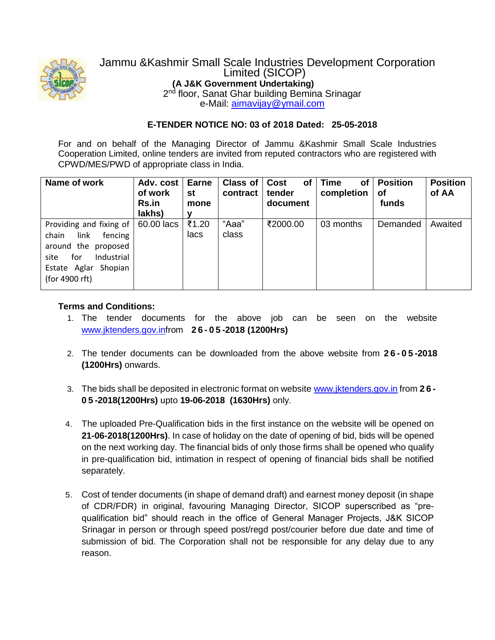

## Jammu &Kashmir Small Scale Industries Development Corporation Limited (SICOP) **(A J&K Government Undertaking)** 2<sup>nd</sup> floor, Sanat Ghar building Bemina Srinagar

e-Mail: [aimavijay@ymail.com](mailto:aimavijay@ymail.com)

## **E-TENDER NOTICE NO: 03 of 2018 Dated: 25-05-2018**

For and on behalf of the Managing Director of Jammu &Kashmir Small Scale Industries Cooperation Limited, online tenders are invited from reputed contractors who are registered with CPWD/MES/PWD of appropriate class in India.

| Name of work                                                                                                                                      | Adv. cost<br>of work<br>Rs.in<br>lakhs) | <b>Earne</b><br>st<br>mone | Class of $ $<br>contract | <b>of</b><br>Cost<br>tender<br>document | <b>Time</b><br><b>of</b><br>completion | <b>Position</b><br>Οf<br>funds | <b>Position</b><br>of AA |
|---------------------------------------------------------------------------------------------------------------------------------------------------|-----------------------------------------|----------------------------|--------------------------|-----------------------------------------|----------------------------------------|--------------------------------|--------------------------|
| Providing and fixing of<br>link<br>chain<br>fencing<br>around the proposed<br>Industrial<br>for<br>site<br>Estate Aglar Shopian<br>(for 4900 rft) | 60.00 lacs                              | ₹1.20<br>lacs              | "Aaa"<br>class           | ₹2000.00                                | 03 months                              | Demanded                       | Awaited                  |

## **Terms and Conditions:**

- 1. The tender documents for the above job can be seen on the website www.jktenders.gov.infrom **2 6 - 0 5 -2018 (1200Hrs)**
- 2. The tender documents can be downloaded from the above website from **2 6 - 0 5 -2018 (1200Hrs)** onwards.
- 3. The bids shall be deposited in electronic format on website www.jktenders.gov.in from **2 6 - 0 5 -2018(1200Hrs)** upto **19-06-2018 (1630Hrs)** only.
- 4. The uploaded Pre-Qualification bids in the first instance on the website will be opened on **21-06-2018(1200Hrs)**. In case of holiday on the date of opening of bid, bids will be opened on the next working day. The financial bids of only those firms shall be opened who qualify in pre-qualification bid, intimation in respect of opening of financial bids shall be notified separately.
- 5. Cost of tender documents (in shape of demand draft) and earnest money deposit (in shape of CDR/FDR) in original, favouring Managing Director, SICOP superscribed as "prequalification bid" should reach in the office of General Manager Projects, J&K SICOP Srinagar in person or through speed post/regd post/courier before due date and time of submission of bid. The Corporation shall not be responsible for any delay due to any reason.